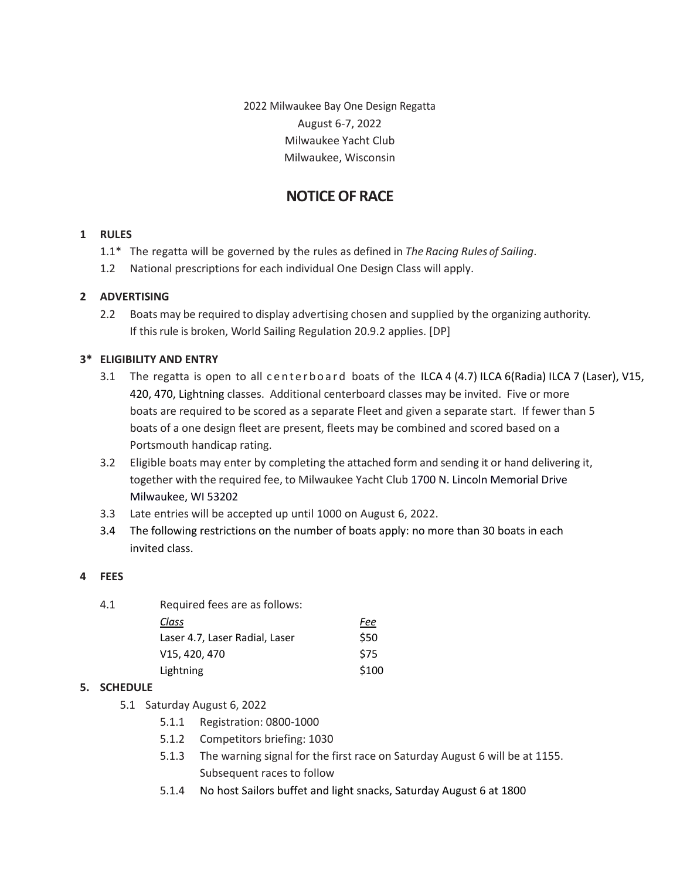2022 Milwaukee Bay One Design Regatta August 6-7, 2022 Milwaukee Yacht Club Milwaukee, Wisconsin

# **NOTICE OF RACE**

## **1 RULES**

- 1.1\* The regatta will be governed by the rules as defined in *The Racing Rules of Sailing*.
- 1.2 National prescriptions for each individual One Design Class will apply.

## **2 ADVERTISING**

2.2 Boats may be required to display advertising chosen and supplied by the organizing authority. If this rule is broken, World Sailing Regulation 20.9.2 applies. [DP]

## **3\* ELIGIBILITY AND ENTRY**

- 3.1 The regatta is open to all centerboard boats of the ILCA  $4(4.7)$  ILCA 6(Radia) ILCA 7 (Laser), V15, 420, 470, Lightning classes. Additional centerboard classes may be invited. Five or more boats are required to be scored as a separate Fleet and given a separate start. If fewer than 5 boats of a one design fleet are present, fleets may be combined and scored based on a Portsmouth handicap rating.
- 3.2 Eligible boats may enter by completing the attached form and sending it or hand delivering it, together with the required fee, to Milwaukee Yacht Club 1700 N. Lincoln Memorial Drive Milwaukee, WI 53202
- 3.3 Late entries will be accepted up until 1000 on August 6, 2022.
- 3.4 The following restrictions on the number of boats apply: no more than 30 boats in each invited class.

## **4 FEES**

| 4.1 | Required fees are as follows:                       |       |
|-----|-----------------------------------------------------|-------|
|     | Class                                               | Fee   |
|     | Laser 4.7, Laser Radial, Laser                      | \$50  |
|     | V <sub>15</sub> , 4 <sub>20</sub> , 4 <sub>70</sub> | \$75  |
|     | Lightning                                           | \$100 |

## **5. SCHEDULE**

- 5.1 Saturday August 6, 2022
	- 5.1.1 Registration: 0800-1000
	- 5.1.2 Competitors briefing: 1030
	- 5.1.3 The warning signal for the first race on Saturday August 6 will be at 1155. Subsequent races to follow
	- 5.1.4 No host Sailors buffet and light snacks, Saturday August 6 at 1800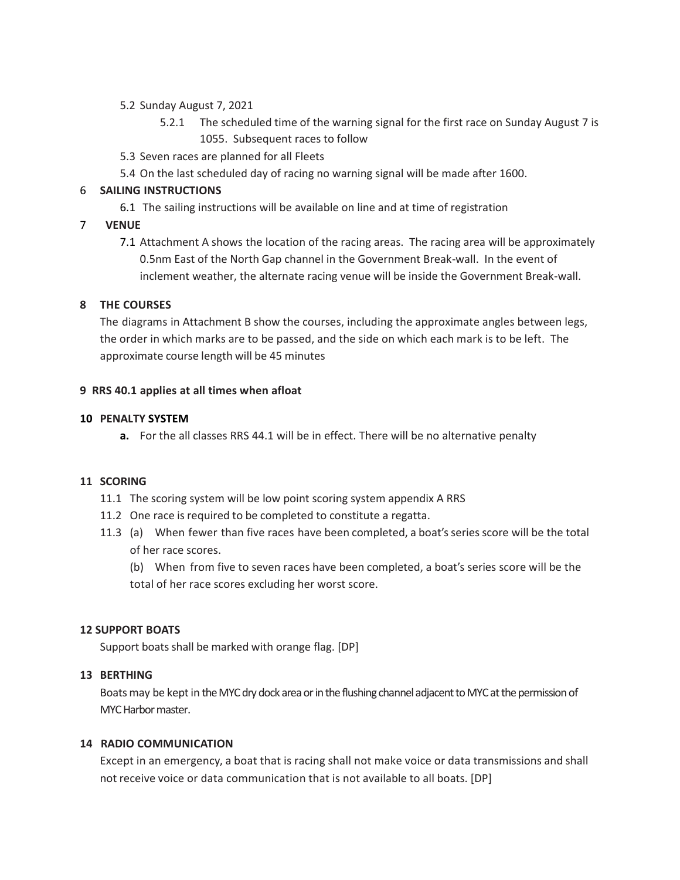## 5.2 Sunday August 7, 2021

- 5.2.1 The scheduled time of the warning signal for the first race on Sunday August 7 is 1055. Subsequent races to follow
- 5.3 Seven races are planned for all Fleets
- 5.4 On the last scheduled day of racing no warning signal will be made after 1600.

# 6 **SAILING INSTRUCTIONS**

6.1 The sailing instructions will be available on line and at time of registration

# 7 **VENUE**

7.1 Attachment A shows the location of the racing areas. The racing area will be approximately 0.5nm East of the North Gap channel in the Government Break-wall. In the event of inclement weather, the alternate racing venue will be inside the Government Break-wall.

# **8 THE COURSES**

The diagrams in Attachment B show the courses, including the approximate angles between legs, the order in which marks are to be passed, and the side on which each mark is to be left. The approximate course length will be 45 minutes

# **9 RRS 40.1 applies at all times when afloat**

## **10 PENALTY SYSTEM**

**a.** For the all classes RRS 44.1 will be in effect. There will be no alternative penalty

# **11 SCORING**

- 11.1 The scoring system will be low point scoring system appendix A RRS
- 11.2 One race is required to be completed to constitute a regatta.
- 11.3 (a) When fewer than five races have been completed, a boat'sseriesscore will be the total of her race scores.

(b) When from five to seven races have been completed, a boat's series score will be the total of her race scores excluding her worst score.

# **12 SUPPORT BOATS**

Support boats shall be marked with orange flag. [DP]

#### **13 BERTHING**

Boats may be kept in the MYC dry dock area or in the flushing channel adjacent to MYC at the permission of MYC Harbor master.

#### **14 RADIO COMMUNICATION**

Except in an emergency, a boat that is racing shall not make voice or data transmissions and shall not receive voice or data communication that is not available to all boats. [DP]